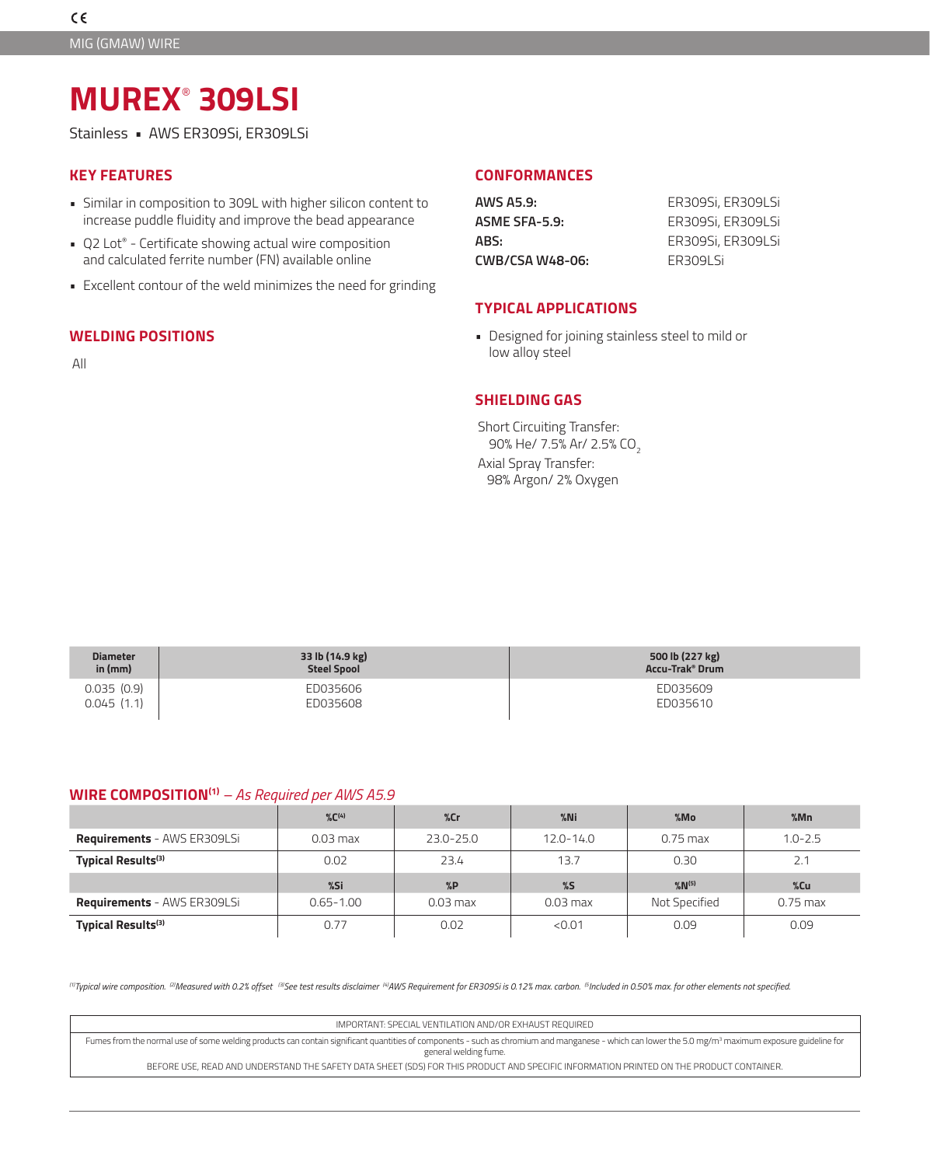# **MUREX**®  **309LSI**

Stainless • AWS ER309Si, ER309LSi

## **KEY FEATURES**

- Similar in composition to 309L with higher silicon content to increase puddle fluidity and improve the bead appearance
- Q2 Lot® Certificate showing actual wire composition and calculated ferrite number (FN) available online
- Excellent contour of the weld minimizes the need for grinding

# **WELDING POSITIONS**

All

## **CONFORMANCES**

| AWS A5.9:       | ER309Si, ER309LSi |
|-----------------|-------------------|
| ASME SFA-5.9:   | ER309Si, ER309LSi |
| ABS:            | ER309Si, ER309LSi |
| CWB/CSA W48-06: | FR3091 Si         |

#### **TYPICAL APPLICATIONS**

• Designed for joining stainless steel to mild or low alloy steel

# **SHIELDING GAS**

Short Circuiting Transfer: 90% He/ 7.5% Ar/ 2.5% CO<sub>2</sub>

Axial Spray Transfer: 98% Argon/ 2% Oxygen

| <b>Diameter</b><br>in $(mm)$ | 33 lb (14.9 kg)<br><b>Steel Spool</b> | 500 lb (227 kg)<br><b>Accu-Trak<sup>®</sup> Drum</b> |
|------------------------------|---------------------------------------|------------------------------------------------------|
| 0.035(0.9)                   | ED035606                              | ED035609                                             |
| 0.045(1.1)                   | ED035608                              | ED035610                                             |

## **WIRE COMPOSITION(1)** *– As Required per AWS A5.9*

|                                    | $\%C^{(4)}$   | %cr        | $%$ Ni        | %Mo           | %Mn         |
|------------------------------------|---------------|------------|---------------|---------------|-------------|
| <b>Requirements - AWS ER309LSi</b> | $0.03$ max    | 23.0-25.0  | $12.0 - 14.0$ | $0.75$ max    | $1.0 - 2.5$ |
| Typical Results <sup>(3)</sup>     | 0.02          | 23.4       | 13.7          | 0.30          | 2.1         |
|                                    |               |            |               |               |             |
|                                    | %Si           | %P         | $\%$          | $%N^{(5)}$    | $%$ Cu      |
| <b>Requirements - AWS ER309LSi</b> | $0.65 - 1.00$ | $0.03$ max | $0.03$ max    | Not Specified | $0.75$ max  |

<sup>(1)</sup>Typical wire composition. <sup>[2]</sup>Measured with 0.2% offset <sup>[3]</sup>See test results disclaimer <sup>(4)</sup>AWS Requirement for ER309Si is 0.12% max. carbon. <sup>[5]</sup>Included in 0.50% max. for other elements not specified.

| IMPORTANT: SPECIAL VENTILATION AND/OR EXHAUST REOUIRED                                                                                                                                                                                   |
|------------------------------------------------------------------------------------------------------------------------------------------------------------------------------------------------------------------------------------------|
| Fumes from the normal use of some welding products can contain significant quantities of components - such as chromium and manganese - which can lower the 5.0 mg/m <sup>3</sup> maximum exposure guideline for<br>general welding fume. |
| BEFORE USE, READ AND UNDERSTAND THE SAFETY DATA SHEET (SDS) FOR THIS PRODUCT AND SPECIFIC INFORMATION PRINTED ON THE PRODUCT CONTAINER.                                                                                                  |